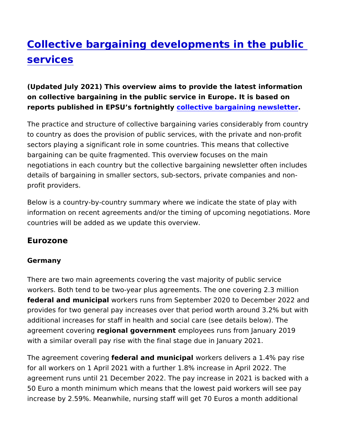# [Collective bargaining developments in t](https://www.epsu.org/article/collective-bargaining-developments-public-services)he p [service](https://www.epsu.org/article/collective-bargaining-developments-public-services)s

(Updated July 2021) This overview aims to provide the latest inforon collective bargaining in the public service in Europe. It is bas reports published in EPSU s fortnightive bargaining newsletter

The practice and structure of collective bargaining varies conside to country as does the provision of public services, with the priva sectors playing a significant role in some countries. This means t bargaining can be quite fragmented. This overview focuses on the negotiations in each country but the collective bargaining newsle details of bargaining in smaller sectors, sub-sectors, private com profit providers.

Below is a country-by-country summary where we indicate the sta information on recent agreements and/or the timing of upcoming r countries will be added as we update this overview.

#### Eurozone

#### Germany

There are two main agreements covering the vast majority of publ workers. Both tend to be two-year plus agreements. The one cove federal and municimparakers runs from September 2020 to December provides for two general pay increases over that period worth aro additional increases for staff in health and social care (see detai agreement covereignigonal governmemtployees runs from January 2019 with a similar overall pay rise with the final stage due in January

The agreement covediengal and municipal kers delivers a 1.4% pay rise. for all workers on 1 April 2021 with a further 1.8% increase in Ap agreement runs until 21 December 2022. The pay increase in 2021 50 Euro a month minimum which means that the lowest paid worke increase by 2.59%. Meanwhile, nursing staff will get 70 Euros a m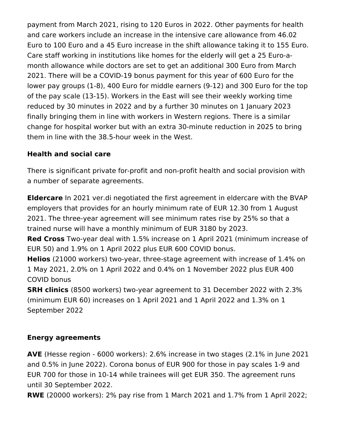payment from March 2021, rising to 120 Euros in 2022. Other payments for health and care workers include an increase in the intensive care allowance from 46.02 Euro to 100 Euro and a 45 Euro increase in the shift allowance taking it to 155 Euro. Care staff working in institutions like homes for the elderly will get a 25 Euro-amonth allowance while doctors are set to get an additional 300 Euro from March 2021. There will be a COVID-19 bonus payment for this year of 600 Euro for the lower pay groups (1-8), 400 Euro for middle earners (9-12) and 300 Euro for the top of the pay scale (13-15). Workers in the East will see their weekly working time reduced by 30 minutes in 2022 and by a further 30 minutes on 1 January 2023 finally bringing them in line with workers in Western regions. There is a similar change for hospital worker but with an extra 30-minute reduction in 2025 to bring them in line with the 38.5-hour week in the West.

#### **Health and social care**

There is significant private for-profit and non-profit health and social provision with a number of separate agreements.

**Eldercare** In 2021 ver.di negotiated the first agreement in eldercare with the BVAP employers that provides for an hourly minimum rate of EUR 12.30 from 1 August 2021. The three-year agreement will see minimum rates rise by 25% so that a trained nurse will have a monthly minimum of EUR 3180 by 2023.

**Red Cross** Two-year deal with 1.5% increase on 1 April 2021 (minimum increase of EUR 50) and 1.9% on 1 April 2022 plus EUR 600 COVID bonus.

**Helios** (21000 workers) two-year, three-stage agreement with increase of 1.4% on 1 May 2021, 2.0% on 1 April 2022 and 0.4% on 1 November 2022 plus EUR 400 COVID bonus

**SRH clinics** (8500 workers) two-year agreement to 31 December 2022 with 2.3% (minimum EUR 60) increases on 1 April 2021 and 1 April 2022 and 1.3% on 1 September 2022

#### **Energy agreements**

**AVE** (Hesse region - 6000 workers): 2.6% increase in two stages (2.1% in June 2021 and 0.5% in June 2022). Corona bonus of EUR 900 for those in pay scales 1-9 and EUR 700 for those in 10-14 while trainees will get EUR 350. The agreement runs until 30 September 2022.

**RWE** (20000 workers): 2% pay rise from 1 March 2021 and 1.7% from 1 April 2022;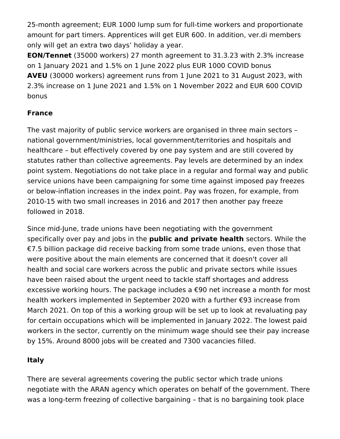25-month agreement; EUR 1000 lump sum for full-time workers and proportionate amount for part timers. Apprentices will get EUR 600. In addition, ver.di members only will get an extra two days' holiday a year.

**EON/Tennet** (35000 workers) 27 month agreement to 31.3.23 with 2.3% increase on 1 January 2021 and 1.5% on 1 June 2022 plus EUR 1000 COVID bonus **AVEU** (30000 workers) agreement runs from 1 June 2021 to 31 August 2023, with 2.3% increase on 1 June 2021 and 1.5% on 1 November 2022 and EUR 600 COVID bonus

## **France**

The vast majority of public service workers are organised in three main sectors – national government/ministries, local government/territories and hospitals and healthcare – but effectively covered by one pay system and are still covered by statutes rather than collective agreements. Pay levels are determined by an index point system. Negotiations do not take place in a regular and formal way and public service unions have been campaigning for some time against imposed pay freezes or below-inflation increases in the index point. Pay was frozen, for example, from 2010-15 with two small increases in 2016 and 2017 then another pay freeze followed in 2018.

Since mid-June, trade unions have been negotiating with the government specifically over pay and jobs in the **public and private health** sectors. While the €7.5 billion package did receive backing from some trade unions, even those that were positive about the main elements are concerned that it doesn't cover all health and social care workers across the public and private sectors while issues have been raised about the urgent need to tackle staff shortages and address excessive working hours. The package includes a €90 net increase a month for most health workers implemented in September 2020 with a further €93 increase from March 2021. On top of this a working group will be set up to look at revaluating pay for certain occupations which will be implemented in January 2022. The lowest paid workers in the sector, currently on the minimum wage should see their pay increase by 15%. Around 8000 jobs will be created and 7300 vacancies filled.

#### **Italy**

There are several agreements covering the public sector which trade unions negotiate with the ARAN agency which operates on behalf of the government. There was a long-term freezing of collective bargaining – that is no bargaining took place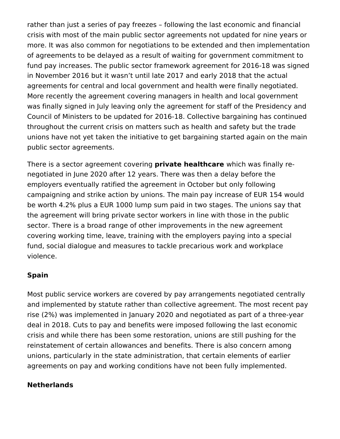rather than just a series of pay freezes – following the last economic and financial crisis with most of the main public sector agreements not updated for nine years or more. It was also common for negotiations to be extended and then implementation of agreements to be delayed as a result of waiting for government commitment to fund pay increases. The public sector framework agreement for 2016-18 was signed in November 2016 but it wasn't until late 2017 and early 2018 that the actual agreements for central and local government and health were finally negotiated. More recently the agreement covering managers in health and local government was finally signed in July leaving only the agreement for staff of the Presidency and Council of Ministers to be updated for 2016-18. Collective bargaining has continued throughout the current crisis on matters such as health and safety but the trade unions have not yet taken the initiative to get bargaining started again on the main public sector agreements.

There is a sector agreement covering **private healthcare** which was finally renegotiated in June 2020 after 12 years. There was then a delay before the employers eventually ratified the agreement in October but only following campaigning and strike action by unions. The main pay increase of EUR 154 would be worth 4.2% plus a EUR 1000 lump sum paid in two stages. The unions say that the agreement will bring private sector workers in line with those in the public sector. There is a broad range of other improvements in the new agreement covering working time, leave, training with the employers paying into a special fund, social dialogue and measures to tackle precarious work and workplace violence.

#### **Spain**

Most public service workers are covered by pay arrangements negotiated centrally and implemented by statute rather than collective agreement. The most recent pay rise (2%) was implemented in January 2020 and negotiated as part of a three-year deal in 2018. Cuts to pay and benefits were imposed following the last economic crisis and while there has been some restoration, unions are still pushing for the reinstatement of certain allowances and benefits. There is also concern among unions, particularly in the state administration, that certain elements of earlier agreements on pay and working conditions have not been fully implemented.

#### **Netherlands**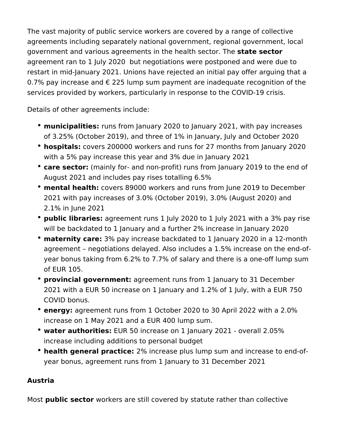The vast majority of public service workers are covered by a range of collective agreements including separately national government, regional government, local government and various agreements in the health sector. The **state sector** agreement ran to 1 July 2020 but negotiations were postponed and were due to restart in mid-January 2021. Unions have rejected an initial pay offer arguing that a 0.7% pay increase and  $\epsilon$  225 lump sum payment are inadequate recognition of the services provided by workers, particularly in response to the COVID-19 crisis.

Details of other agreements include:

- **municipalities:** runs from January 2020 to January 2021, with pay increases of 3.25% (October 2019), and three of 1% in January, July and October 2020
- **hospitals:** covers 200000 workers and runs for 27 months from January 2020 with a 5% pay increase this year and 3% due in January 2021
- **care sector:** (mainly for- and non-profit) runs from January 2019 to the end of August 2021 and includes pay rises totalling 6.5%
- **mental health:** covers 89000 workers and runs from June 2019 to December 2021 with pay increases of 3.0% (October 2019), 3.0% (August 2020) and 2.1% in June 2021
- **public libraries:** agreement runs 1 July 2020 to 1 July 2021 with a 3% pay rise will be backdated to 1 January and a further 2% increase in January 2020
- **maternity care:** 3% pay increase backdated to 1 January 2020 in a 12-month agreement – negotiations delayed. Also includes a 1.5% increase on the end-ofyear bonus taking from 6.2% to 7.7% of salary and there is a one-off lump sum of EUR 105.
- **provincial government:** agreement runs from 1 January to 31 December 2021 with a EUR 50 increase on 1 January and 1.2% of 1 July, with a EUR 750 COVID bonus.
- **energy:** agreement runs from 1 October 2020 to 30 April 2022 with a 2.0% increase on 1 May 2021 and a EUR 400 lump sum.
- **water authorities:** EUR 50 increase on 1 January 2021 overall 2.05% increase including additions to personal budget
- **health general practice:** 2% increase plus lump sum and increase to end-ofyear bonus, agreement runs from 1 January to 31 December 2021

#### **Austria**

Most **public sector** workers are still covered by statute rather than collective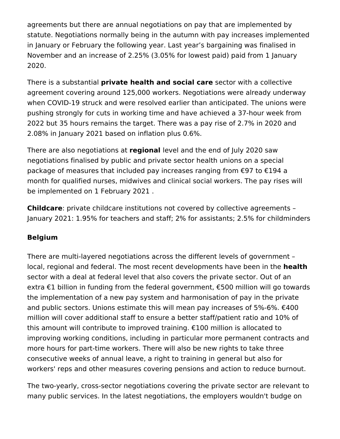agreements but there are annual negotiations on pay that are implemented by statute. Negotiations normally being in the autumn with pay increases implemented in January or February the following year. Last year's bargaining was finalised in November and an increase of 2.25% (3.05% for lowest paid) paid from 1 January 2020.

There is a substantial **private health and social care** sector with a collective agreement covering around 125,000 workers. Negotiations were already underway when COVID-19 struck and were resolved earlier than anticipated. The unions were pushing strongly for cuts in working time and have achieved a 37-hour week from 2022 but 35 hours remains the target. There was a pay rise of 2.7% in 2020 and 2.08% in January 2021 based on inflation plus 0.6%.

There are also negotiations at **regional** level and the end of July 2020 saw negotiations finalised by public and private sector health unions on a special package of measures that included pay increases ranging from €97 to €194 a month for qualified nurses, midwives and clinical social workers. The pay rises will be implemented on 1 February 2021 .

**Childcare**: private childcare institutions not covered by collective agreements – January 2021: 1.95% for teachers and staff; 2% for assistants; 2.5% for childminders

#### **Belgium**

There are multi-layered negotiations across the different levels of government – local, regional and federal. The most recent developments have been in the **health**  sector with a deal at federal level that also covers the private sector. Out of an extra €1 billion in funding from the federal government, €500 million will go towards the implementation of a new pay system and harmonisation of pay in the private and public sectors. Unions estimate this will mean pay increases of 5%-6%. €400 million will cover additional staff to ensure a better staff/patient ratio and 10% of this amount will contribute to improved training. €100 million is allocated to improving working conditions, including in particular more permanent contracts and more hours for part-time workers. There will also be new rights to take three consecutive weeks of annual leave, a right to training in general but also for workers' reps and other measures covering pensions and action to reduce burnout.

The two-yearly, cross-sector negotiations covering the private sector are relevant to many public services. In the latest negotiations, the employers wouldn't budge on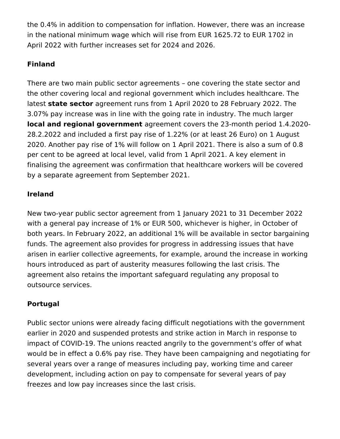the 0.4% in addition to compensation for inflation. However, there was an increase in the national minimum wage which will rise from EUR 1625.72 to EUR 1702 in April 2022 with further increases set for 2024 and 2026.

#### **Finland**

There are two main public sector agreements – one covering the state sector and the other covering local and regional government which includes healthcare. The latest **state sector** agreement runs from 1 April 2020 to 28 February 2022. The 3.07% pay increase was in line with the going rate in industry. The much larger **local and regional government** agreement covers the 23-month period 1.4.2020- 28.2.2022 and included a first pay rise of 1.22% (or at least 26 Euro) on 1 August 2020. Another pay rise of 1% will follow on 1 April 2021. There is also a sum of 0.8 per cent to be agreed at local level, valid from 1 April 2021. A key element in finalising the agreement was confirmation that healthcare workers will be covered by a separate agreement from September 2021.

## **Ireland**

New two-year public sector agreement from 1 January 2021 to 31 December 2022 with a general pay increase of 1% or EUR 500, whichever is higher, in October of both years. In February 2022, an additional 1% will be available in sector bargaining funds. The agreement also provides for progress in addressing issues that have arisen in earlier collective agreements, for example, around the increase in working hours introduced as part of austerity measures following the last crisis. The agreement also retains the important safeguard regulating any proposal to outsource services.

# **Portugal**

Public sector unions were already facing difficult negotiations with the government earlier in 2020 and suspended protests and strike action in March in response to impact of COVID-19. The unions reacted angrily to the government's offer of what would be in effect a 0.6% pay rise. They have been campaigning and negotiating for several years over a range of measures including pay, working time and career development, including action on pay to compensate for several years of pay freezes and low pay increases since the last crisis.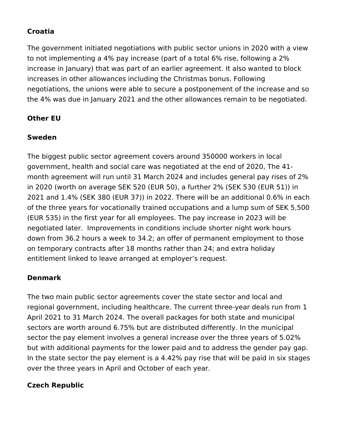#### **Croatia**

The government initiated negotiations with public sector unions in 2020 with a view to not implementing a 4% pay increase (part of a total 6% rise, following a 2% increase in January) that was part of an earlier agreement. It also wanted to block increases in other allowances including the Christmas bonus. Following negotiations, the unions were able to secure a postponement of the increase and so the 4% was due in January 2021 and the other allowances remain to be negotiated.

## **Other EU**

## **Sweden**

The biggest public sector agreement covers around 350000 workers in local government, health and social care was negotiated at the end of 2020, The 41 month agreement will run until 31 March 2024 and includes general pay rises of 2% in 2020 (worth on average SEK 520 (EUR 50), a further 2% (SEK 530 (EUR 51)) in 2021 and 1.4% (SEK 380 (EUR 37)) in 2022. There will be an additional 0.6% in each of the three years for vocationally trained occupations and a lump sum of SEK 5,500 (EUR 535) in the first year for all employees. The pay increase in 2023 will be negotiated later. Improvements in conditions include shorter night work hours down from 36.2 hours a week to 34.2; an offer of permanent employment to those on temporary contracts after 18 months rather than 24; and extra holiday entitlement linked to leave arranged at employer's request.

# **Denmark**

The two main public sector agreements cover the state sector and local and regional government, including healthcare. The current three-year deals run from 1 April 2021 to 31 March 2024. The overall packages for both state and municipal sectors are worth around 6.75% but are distributed differently. In the municipal sector the pay element involves a general increase over the three years of 5.02% but with additional payments for the lower paid and to address the gender pay gap. In the state sector the pay element is a 4.42% pay rise that will be paid in six stages over the three years in April and October of each year.

# **Czech Republic**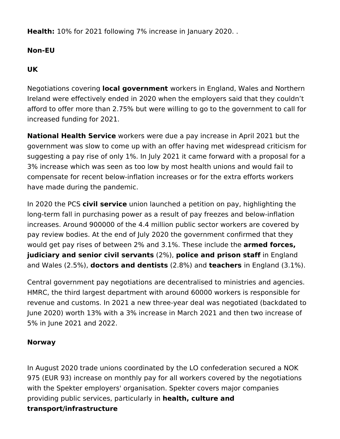**Health:** 10% for 2021 following 7% increase in January 2020. .

#### **Non-EU**

#### **UK**

Negotiations covering **local government** workers in England, Wales and Northern Ireland were effectively ended in 2020 when the employers said that they couldn't afford to offer more than 2.75% but were willing to go to the government to call for increased funding for 2021.

**National Health Service** workers were due a pay increase in April 2021 but the government was slow to come up with an offer having met widespread criticism for suggesting a pay rise of only 1%. In July 2021 it came forward with a proposal for a 3% increase which was seen as too low by most health unions and would fail to compensate for recent below-inflation increases or for the extra efforts workers have made during the pandemic.

In 2020 the PCS **civil service** union launched a petition on pay, highlighting the long-term fall in purchasing power as a result of pay freezes and below-inflation increases. Around 900000 of the 4.4 million public sector workers are covered by pay review bodies. At the end of July 2020 the government confirmed that they would get pay rises of between 2% and 3.1%. These include the **armed forces, judiciary and senior civil servants** (2%), **police and prison staff** in England and Wales (2.5%), **doctors and dentists** (2.8%) and **teachers** in England (3.1%).

Central government pay negotiations are decentralised to ministries and agencies. HMRC, the third largest department with around 60000 workers is responsible for revenue and customs. In 2021 a new three-year deal was negotiated (backdated to June 2020) worth 13% with a 3% increase in March 2021 and then two increase of 5% in June 2021 and 2022.

#### **Norway**

In August 2020 trade unions coordinated by the LO confederation secured a NOK 975 (EUR 93) increase on monthly pay for all workers covered by the negotiations with the Spekter employers' organisation. Spekter covers major companies providing public services, particularly in **health, culture and transport/infrastructure**